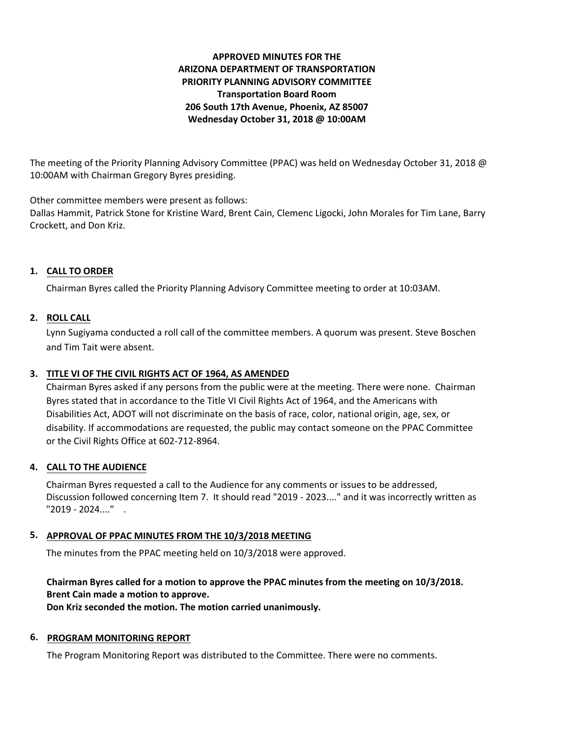# **APPROVED MINUTES FOR THE ARIZONA DEPARTMENT OF TRANSPORTATION PRIORITY PLANNING ADVISORY COMMITTEE Transportation Board Room 206 South 17th Avenue, Phoenix, AZ 85007 Wednesday October 31, 2018 @ 10:00AM**

The meeting of the Priority Planning Advisory Committee (PPAC) was held on Wednesday October 31, 2018 @ 10:00AM with Chairman Gregory Byres presiding.

Other committee members were present as follows:

Dallas Hammit, Patrick Stone for Kristine Ward, Brent Cain, Clemenc Ligocki, John Morales for Tim Lane, Barry Crockett, and Don Kriz.

# **1. CALL TO ORDER**

Chairman Byres called the Priority Planning Advisory Committee meeting to order at 10:03AM.

# **2. ROLL CALL**

Lynn Sugiyama conducted a roll call of the committee members. A quorum was present. Steve Boschen and Tim Tait were absent.

## **3. TITLE VI OF THE CIVIL RIGHTS ACT OF 1964, AS AMENDED**

Chairman Byres asked if any persons from the public were at the meeting. There were none. Chairman Byres stated that in accordance to the Title VI Civil Rights Act of 1964, and the Americans with Disabilities Act, ADOT will not discriminate on the basis of race, color, national origin, age, sex, or disability. If accommodations are requested, the public may contact someone on the PPAC Committee or the Civil Rights Office at 602-712-8964.

# **4. CALL TO THE AUDIENCE**

Chairman Byres requested a call to the Audience for any comments or issues to be addressed, Discussion followed concerning Item 7. It should read "2019 - 2023...." and it was incorrectly written as "2019 - 2024...." .

# **5. APPROVAL OF PPAC MINUTES FROM THE 10/3/2018 MEETING**

The minutes from the PPAC meeting held on 10/3/2018 were approved.

# **Chairman Byres called for a motion to approve the PPAC minutes from the meeting on 10/3/2018. Brent Cain made a motion to approve.**

**Don Kriz seconded the motion. The motion carried unanimously.**

## **6. PROGRAM MONITORING REPORT**

The Program Monitoring Report was distributed to the Committee. There were no comments.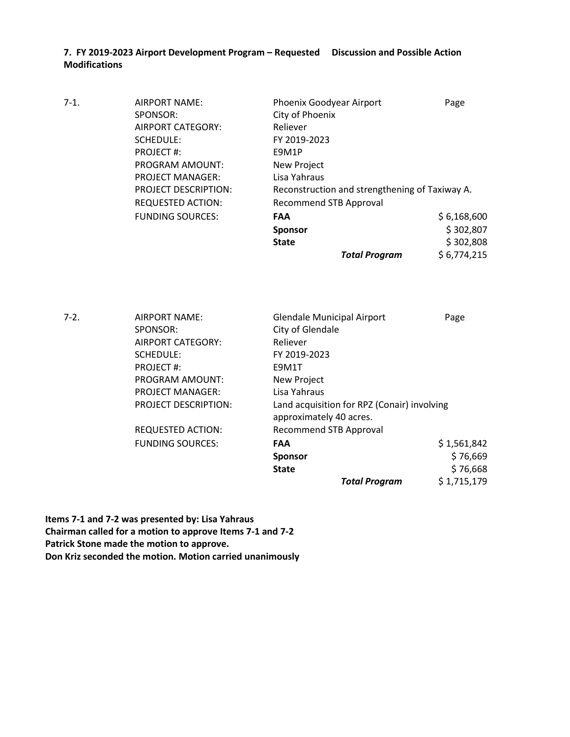**7. FY 2019-2023 Airport Development Program – Requested Discussion and Possible Action Modifications**

| $7-1.$ | AIRPORT NAME:               | Phoenix Goodyear Airport                       | Page        |
|--------|-----------------------------|------------------------------------------------|-------------|
|        | SPONSOR:                    | City of Phoenix                                |             |
|        | AIRPORT CATEGORY:           | Reliever                                       |             |
|        | SCHEDULE:                   | FY 2019-2023                                   |             |
|        | PROJECT#:                   | E9M1P                                          |             |
|        | PROGRAM AMOUNT:             | New Project                                    |             |
|        | <b>PROJECT MANAGER:</b>     | Lisa Yahraus                                   |             |
|        | <b>PROJECT DESCRIPTION:</b> | Reconstruction and strengthening of Taxiway A. |             |
|        | <b>REQUESTED ACTION:</b>    | <b>Recommend STB Approval</b>                  |             |
|        | <b>FUNDING SOURCES:</b>     | <b>FAA</b>                                     | \$6,168,600 |
|        |                             | <b>Sponsor</b>                                 | \$302,807   |
|        |                             | <b>State</b>                                   | \$302,808   |
|        |                             | <b>Total Program</b>                           | \$6,774,215 |

7-2. AIRPORT NAME: Glendale Municipal Airport Page SPONSOR: City of Glendale AIRPORT CATEGORY: Reliever SCHEDULE: FY 2019-2023 PROJECT #: E9M1T PROGRAM AMOUNT: New Project PROJECT MANAGER: Lisa Yahraus PROJECT DESCRIPTION: Land acquisition for RPZ (Conair) involving approximately 40 acres. REQUESTED ACTION: Recommend STB Approval FUNDING SOURCES: **FAA** \$ 1,561,842 **Sponsor**  $\frac{1}{2}$  76,669 **State**  $$76,668$ *Total Program* \$ 1,715,179

**Items 7-1 and 7-2 was presented by: Lisa Yahraus Chairman called for a motion to approve Items 7-1 and 7-2 Patrick Stone made the motion to approve. Don Kriz seconded the motion. Motion carried unanimously**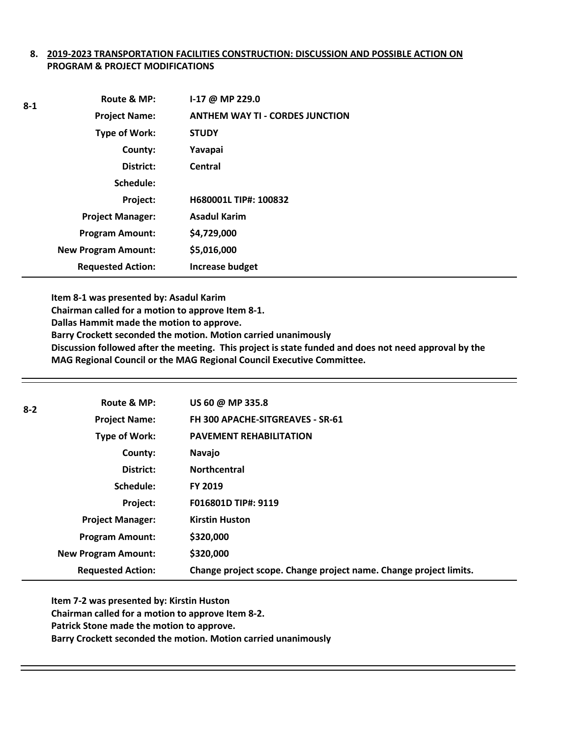## **8. 2019-2023 TRANSPORTATION FACILITIES CONSTRUCTION: DISCUSSION AND POSSIBLE ACTION ON PROGRAM & PROJECT MODIFICATIONS**

| 8-1 | Route & MP:                | $1-17$ @ MP 229.0                      |
|-----|----------------------------|----------------------------------------|
|     | <b>Project Name:</b>       | <b>ANTHEM WAY TI - CORDES JUNCTION</b> |
|     | Type of Work:              | <b>STUDY</b>                           |
|     | County:                    | Yavapai                                |
|     | District:                  | Central                                |
|     | Schedule:                  |                                        |
|     | Project:                   | H680001L TIP#: 100832                  |
|     | <b>Project Manager:</b>    | <b>Asadul Karim</b>                    |
|     | <b>Program Amount:</b>     | \$4,729,000                            |
|     | <b>New Program Amount:</b> | \$5,016,000                            |
|     | <b>Requested Action:</b>   | <b>Increase budget</b>                 |

**Item 8-1 was presented by: Asadul Karim**

**Chairman called for a motion to approve Item 8-1.**

**Dallas Hammit made the motion to approve.**

**Barry Crockett seconded the motion. Motion carried unanimously** 

**Discussion followed after the meeting. This project is state funded and does not need approval by the MAG Regional Council or the MAG Regional Council Executive Committee.** 

| $8 - 2$ | Route & MP:                | US 60 @ MP 335.8                                                  |
|---------|----------------------------|-------------------------------------------------------------------|
|         | <b>Project Name:</b>       | FH 300 APACHE-SITGREAVES - SR-61                                  |
|         | Type of Work:              | <b>PAVEMENT REHABILITATION</b>                                    |
|         | County:                    | Navajo                                                            |
|         | District:                  | <b>Northcentral</b>                                               |
|         | Schedule:                  | <b>FY 2019</b>                                                    |
|         | Project:                   | F016801D TIP#: 9119                                               |
|         | <b>Project Manager:</b>    | <b>Kirstin Huston</b>                                             |
|         | <b>Program Amount:</b>     | \$320,000                                                         |
|         | <b>New Program Amount:</b> | \$320,000                                                         |
|         | <b>Requested Action:</b>   | Change project scope. Change project name. Change project limits. |
|         |                            |                                                                   |

**Item 7-2 was presented by: Kirstin Huston Chairman called for a motion to approve Item 8-2. Patrick Stone made the motion to approve. Barry Crockett seconded the motion. Motion carried unanimously**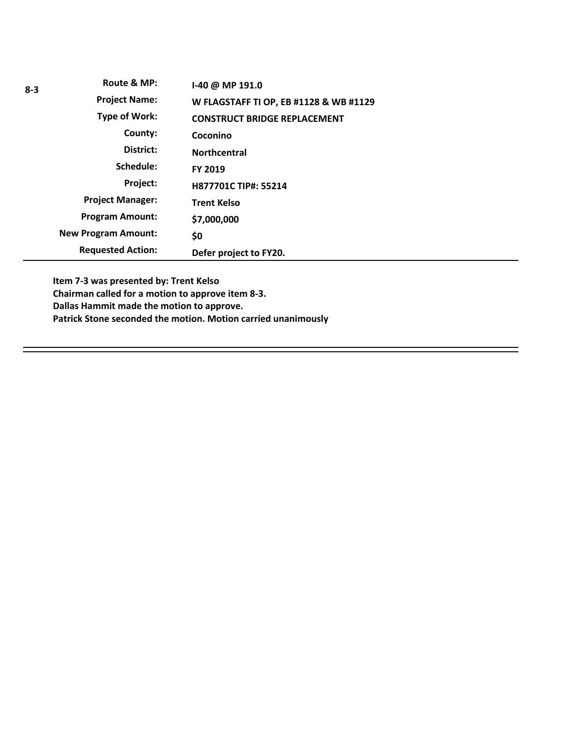| $8 - 3$ | Route & MP:                | I-40 @ MP 191.0                        |
|---------|----------------------------|----------------------------------------|
|         | <b>Project Name:</b>       | W FLAGSTAFF TI OP, EB #1128 & WB #1129 |
|         | <b>Type of Work:</b>       | <b>CONSTRUCT BRIDGE REPLACEMENT</b>    |
|         | County:                    | Coconino                               |
|         | District:                  | <b>Northcentral</b>                    |
|         | Schedule:                  | FY 2019                                |
|         | Project:                   | H877701C TIP#: 55214                   |
|         | <b>Project Manager:</b>    | <b>Trent Kelso</b>                     |
|         | <b>Program Amount:</b>     | \$7,000,000                            |
|         | <b>New Program Amount:</b> | \$0                                    |
|         | <b>Requested Action:</b>   | Defer project to FY20.                 |

**Item 7-3 was presented by: Trent Kelso Chairman called for a motion to approve item 8-3. Dallas Hammit made the motion to approve. Patrick Stone seconded the motion. Motion carried unanimously**